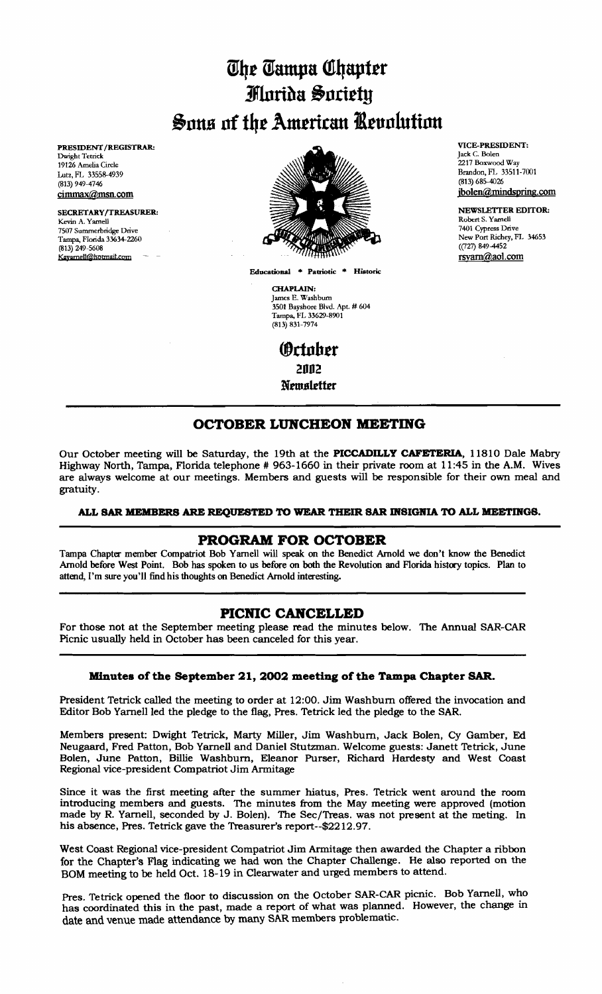# *<u><i>Uhe Campa Chapter</u>*</u> *Flarida Sacietu* Sons of the American *Kevolution*

PRESIDENT/REGISTRAR: Dwight Tetrick 19126 Amelia Circle Lutz, FL 33558-4939 (813) 949-4746 cimmax@msn.com

SECRETARY/TREASURER: Kevin A. Yarnell 7507 Summetbridge Drive Tampa, Florida 33634-2260 (813) 249-5608 Kayame!!@hotmail.com



Educational \* Patriotic \* Historic

CHAPLAIN: James E. Washburn 3501 Bayshore Blvd. Apt. # 604 Tampa, FI. 33629-8901 (813) 831-7974

**(**October **2992 Ntlltslttttr** 

#### VICE.PRESIDENT: Jack C. Bolen 2217 Boxwood Way Brandon, FL 33511-7001 (813) 685-4026 jbolen@mindspring.com

NEWSLETTER EDITOR: Robert S. Yarnell 7401 Cypress Drive New Port Richey, FI. 34653 ((127) 849-4452 rsyam@aol.com

# **OCTOBER LUNCHEON MEETING**

Our October meeting will be Saturday, the 19th at the **PICCADILLY CAFETERIA,** 11810 Dale Mabry Highway North, Tampa, Florida telephone # 963-1660 in their private room at 11:45 in the A.M. Wives are always welcome at our meetings. Members and guests will be responsible for their own meal and gratuity.

## ALL SAR MEMBERS ARE REQUESTED TO WEAR THEIR SAR INSIGNIA TO ALL MEETINGS.

# **PROGRAM FOR OCTOBER**

Tampa Chapter member Compatriot Bob Yarnell will speak on the Benedict Arnold we don't know the Benedict Arnold before West Point. Bob has spoken to us before on both the Revolution and Florida history topics. Plan to attend, I'm sure you'll find his thoughts on Benedict Arnold interesting.

## **PICNIC CANCELLED**

For those not at the September meeting please read the minutes below. The Annual SAR-CAR Picnic usually held in October has been canceled for this year.

## **Minutes of the September 21, 2002 meeting of the Tampa Chapter SAR.**

President Tetrick called the meeting to order at 12:00. Jim Washburn offered the invocation and Editor Bob Yarnell led the pledge to the flag, Pres. Tetrick led the pledge to the SAR.

Members present: Dwight Tetrick, Marty Miller, Jim Washburn, Jack Bolen, Cy Gamber, Ed Neugaard, Fred Patton, Bob Yarnell and Daniel Stutzman. Welcome guests: Janett Tetrick, June Bolen, June Patton, Billie Washburn, Eleanor Purser, Richard Hardesty and West Coast Regional vice-president Compatriot Jim Armitage

Since it was the first meeting after the summer hiatus, Pres. Tetrick went around the room introducing members and guests. The minutes from the May meeting were approved (motion made by R. Yarnell, seconded by J. Bolen). The Sec/Treas. was not present at the meting. In his absence, Pres. Tetrick gave the Treasurer's report--\$2212.97.

West Coast Regional vice-president Compatriot Jim Armitage then awarded the Chapter a ribbon for the Chapter's Flag indicating we had won the Chapter Challenge. He also reported on the BOM meeting to be held Oct. 18-19 in Clearwater and urged members to attend.

Pres. Tetrick opened the floor to discussion on the October SAR-CAR picnic. Bob Yarnell, who has coordinated this in the past, made a report of what was planned. However, the change in date and venue made attendance by many SAR members problematic.